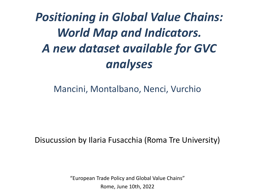# *Positioning in Global Value Chains: World Map and Indicators. A new dataset available for GVC analyses*

## Mancini, Montalbano, Nenci, Vurchio

### Disucussion by Ilaria Fusacchia (Roma Tre University)

"European Trade Policy and Global Value Chains" Rome, June 10th, 2022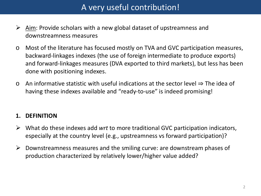## A very useful contribution!

- $\triangleright$  Aim: Provide scholars with a new global dataset of upstreamness and downstreamness measures
- o Most of the literature has focused mostly on TVA and GVC participation measures, backward-linkages indexes (the use of foreign intermediate to produce exports) and forward-linkages measures (DVA exported to third markets), but less has been done with positioning indexes.
- o An informative statistic with useful indications at the sector level ⇒ The idea of having these indexes available and "ready-to-use" is indeed promising!

#### **1. DEFINITION**

- What do these indexes add *wrt* to more traditional GVC participation indicators, especially at the country level (e.g., upstreamness vs forward participation)?
- $\triangleright$  Downstreamness measures and the smiling curve: are downstream phases of production characterized by relatively lower/higher value added?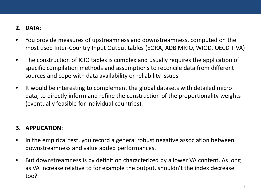#### **2. DATA**:

- You provide measures of upstreamness and downstreamness, computed on the most used Inter-Country Input Output tables (EORA, ADB MRIO, WIOD, OECD TiVA)
- The construction of ICIO tables is complex and usually requires the application of specific compilation methods and assumptions to reconcile data from different sources and cope with data availability or reliability issues
- It would be interesting to complement the global datasets with detailed micro data, to directly inform and refine the construction of the proportionality weights (eventually feasible for individual countries).

#### **3. APPLICATION**:

- In the empirical test, you record a general robust negative association between downstreamness and value added performances.
- But downstreamness is by definition characterized by a lower VA content. As long as VA increase relative to for example the output, shouldn't the index decrease too?